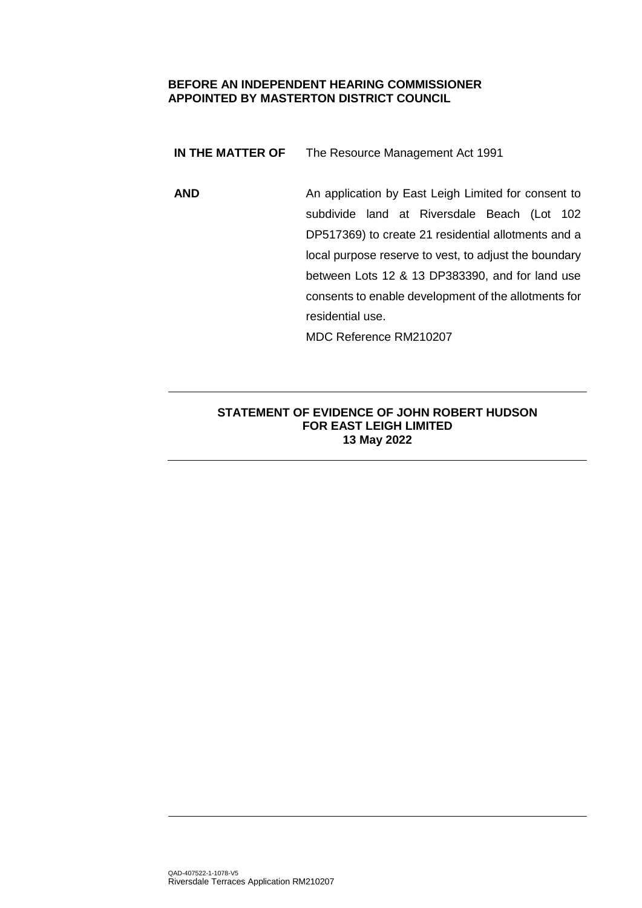### **BEFORE AN INDEPENDENT HEARING COMMISSIONER APPOINTED BY MASTERTON DISTRICT COUNCIL**

**IN THE MATTER OF** The Resource Management Act 1991

**AND** An application by East Leigh Limited for consent to subdivide land at Riversdale Beach (Lot 102 DP517369) to create 21 residential allotments and a local purpose reserve to vest, to adjust the boundary between Lots 12 & 13 DP383390, and for land use consents to enable development of the allotments for residential use.

MDC Reference RM210207

# **STATEMENT OF EVIDENCE OF JOHN ROBERT HUDSON FOR EAST LEIGH LIMITED 13 May 2022**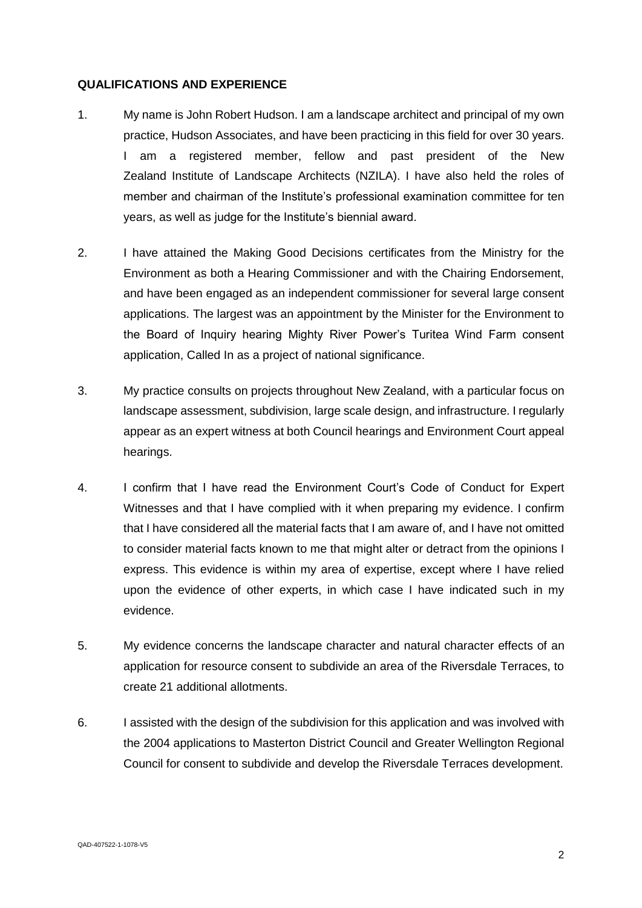### **QUALIFICATIONS AND EXPERIENCE**

- 1. My name is John Robert Hudson. I am a landscape architect and principal of my own practice, Hudson Associates, and have been practicing in this field for over 30 years. I am a registered member, fellow and past president of the New Zealand Institute of Landscape Architects (NZILA). I have also held the roles of member and chairman of the Institute's professional examination committee for ten years, as well as judge for the Institute's biennial award.
- 2. I have attained the Making Good Decisions certificates from the Ministry for the Environment as both a Hearing Commissioner and with the Chairing Endorsement, and have been engaged as an independent commissioner for several large consent applications. The largest was an appointment by the Minister for the Environment to the Board of Inquiry hearing Mighty River Power's Turitea Wind Farm consent application, Called In as a project of national significance.
- 3. My practice consults on projects throughout New Zealand, with a particular focus on landscape assessment, subdivision, large scale design, and infrastructure. I regularly appear as an expert witness at both Council hearings and Environment Court appeal hearings.
- 4. I confirm that I have read the Environment Court's Code of Conduct for Expert Witnesses and that I have complied with it when preparing my evidence. I confirm that I have considered all the material facts that I am aware of, and I have not omitted to consider material facts known to me that might alter or detract from the opinions I express. This evidence is within my area of expertise, except where I have relied upon the evidence of other experts, in which case I have indicated such in my evidence.
- 5. My evidence concerns the landscape character and natural character effects of an application for resource consent to subdivide an area of the Riversdale Terraces, to create 21 additional allotments.
- 6. I assisted with the design of the subdivision for this application and was involved with the 2004 applications to Masterton District Council and Greater Wellington Regional Council for consent to subdivide and develop the Riversdale Terraces development.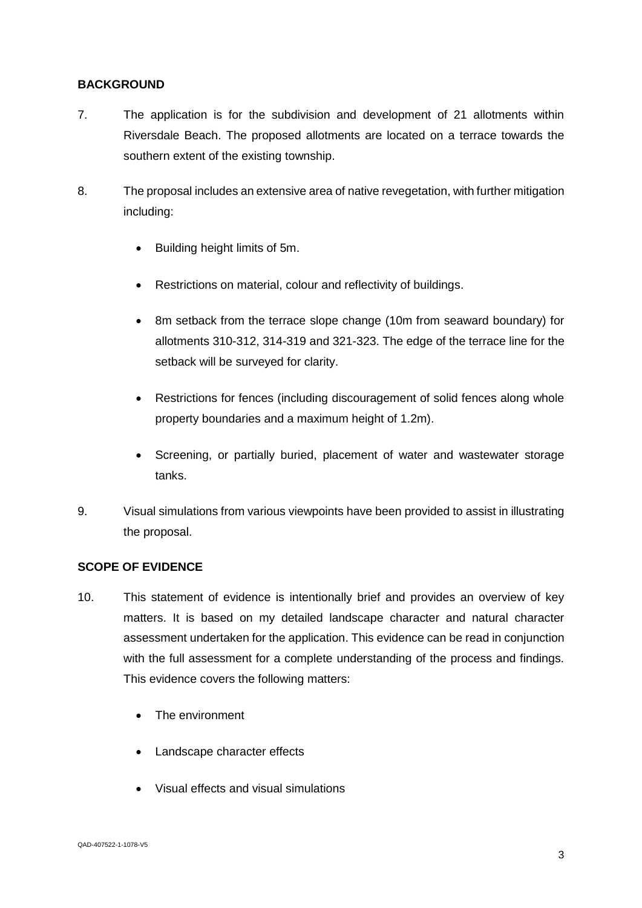# **BACKGROUND**

- 7. The application is for the subdivision and development of 21 allotments within Riversdale Beach. The proposed allotments are located on a terrace towards the southern extent of the existing township.
- 8. The proposal includes an extensive area of native revegetation, with further mitigation including:
	- Building height limits of 5m.
	- Restrictions on material, colour and reflectivity of buildings.
	- 8m setback from the terrace slope change (10m from seaward boundary) for allotments 310-312, 314-319 and 321-323. The edge of the terrace line for the setback will be surveyed for clarity.
	- Restrictions for fences (including discouragement of solid fences along whole property boundaries and a maximum height of 1.2m).
	- Screening, or partially buried, placement of water and wastewater storage tanks.
- 9. Visual simulations from various viewpoints have been provided to assist in illustrating the proposal.

# **SCOPE OF EVIDENCE**

- 10. This statement of evidence is intentionally brief and provides an overview of key matters. It is based on my detailed landscape character and natural character assessment undertaken for the application. This evidence can be read in conjunction with the full assessment for a complete understanding of the process and findings. This evidence covers the following matters:
	- The environment
	- Landscape character effects
	- Visual effects and visual simulations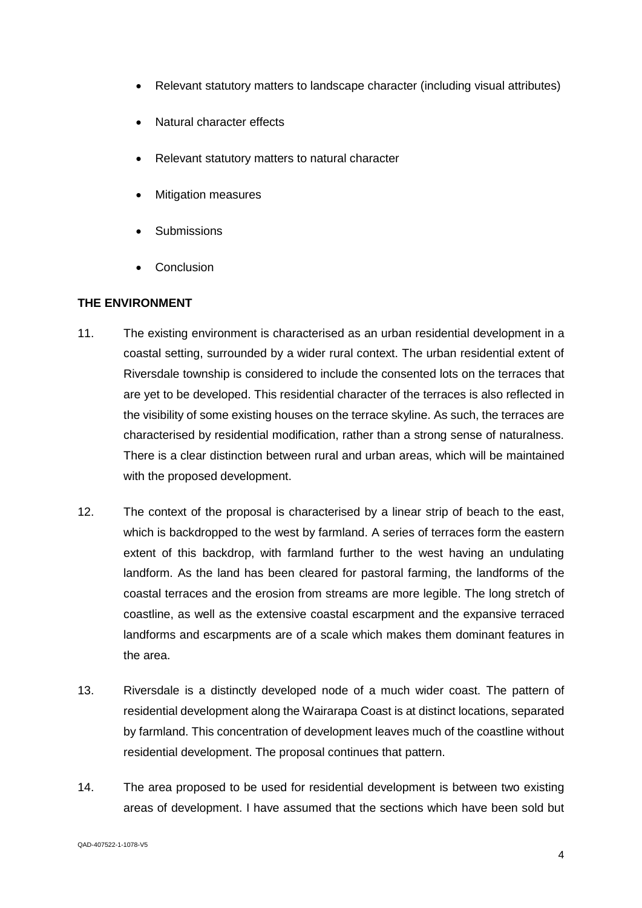- Relevant statutory matters to landscape character (including visual attributes)
- Natural character effects
- Relevant statutory matters to natural character
- Mitigation measures
- **Submissions**
- **Conclusion**

# **THE ENVIRONMENT**

- 11. The existing environment is characterised as an urban residential development in a coastal setting, surrounded by a wider rural context. The urban residential extent of Riversdale township is considered to include the consented lots on the terraces that are yet to be developed. This residential character of the terraces is also reflected in the visibility of some existing houses on the terrace skyline. As such, the terraces are characterised by residential modification, rather than a strong sense of naturalness. There is a clear distinction between rural and urban areas, which will be maintained with the proposed development.
- 12. The context of the proposal is characterised by a linear strip of beach to the east, which is backdropped to the west by farmland. A series of terraces form the eastern extent of this backdrop, with farmland further to the west having an undulating landform. As the land has been cleared for pastoral farming, the landforms of the coastal terraces and the erosion from streams are more legible. The long stretch of coastline, as well as the extensive coastal escarpment and the expansive terraced landforms and escarpments are of a scale which makes them dominant features in the area.
- 13. Riversdale is a distinctly developed node of a much wider coast. The pattern of residential development along the Wairarapa Coast is at distinct locations, separated by farmland. This concentration of development leaves much of the coastline without residential development. The proposal continues that pattern.
- 14. The area proposed to be used for residential development is between two existing areas of development. I have assumed that the sections which have been sold but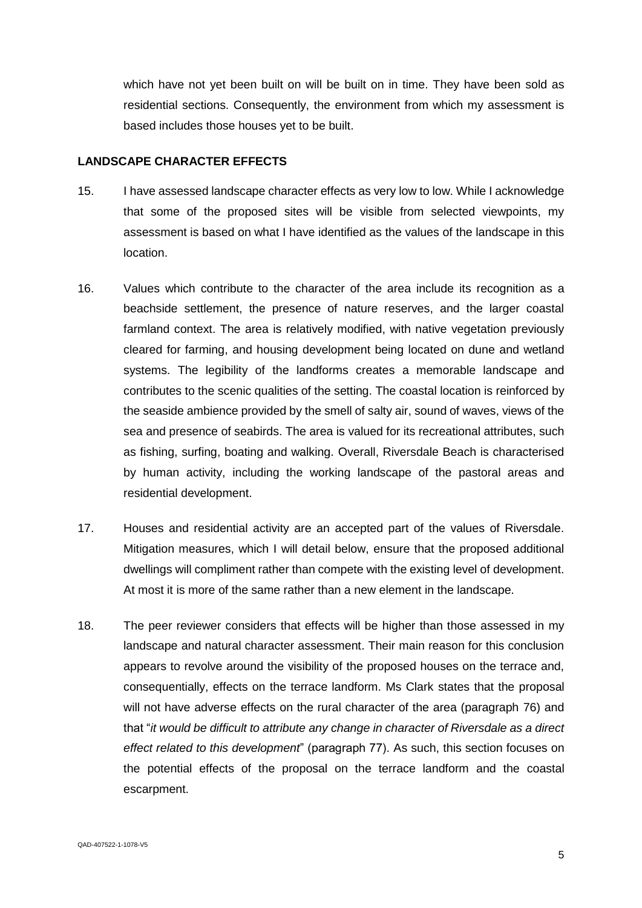which have not yet been built on will be built on in time. They have been sold as residential sections. Consequently, the environment from which my assessment is based includes those houses yet to be built.

### **LANDSCAPE CHARACTER EFFECTS**

- 15. I have assessed landscape character effects as very low to low. While I acknowledge that some of the proposed sites will be visible from selected viewpoints, my assessment is based on what I have identified as the values of the landscape in this location.
- 16. Values which contribute to the character of the area include its recognition as a beachside settlement, the presence of nature reserves, and the larger coastal farmland context. The area is relatively modified, with native vegetation previously cleared for farming, and housing development being located on dune and wetland systems. The legibility of the landforms creates a memorable landscape and contributes to the scenic qualities of the setting. The coastal location is reinforced by the seaside ambience provided by the smell of salty air, sound of waves, views of the sea and presence of seabirds. The area is valued for its recreational attributes, such as fishing, surfing, boating and walking. Overall, Riversdale Beach is characterised by human activity, including the working landscape of the pastoral areas and residential development.
- 17. Houses and residential activity are an accepted part of the values of Riversdale. Mitigation measures, which I will detail below, ensure that the proposed additional dwellings will compliment rather than compete with the existing level of development. At most it is more of the same rather than a new element in the landscape.
- 18. The peer reviewer considers that effects will be higher than those assessed in my landscape and natural character assessment. Their main reason for this conclusion appears to revolve around the visibility of the proposed houses on the terrace and, consequentially, effects on the terrace landform. Ms Clark states that the proposal will not have adverse effects on the rural character of the area (paragraph 76) and that "*it would be difficult to attribute any change in character of Riversdale as a direct effect related to this development*" (paragraph 77). As such, this section focuses on the potential effects of the proposal on the terrace landform and the coastal escarpment.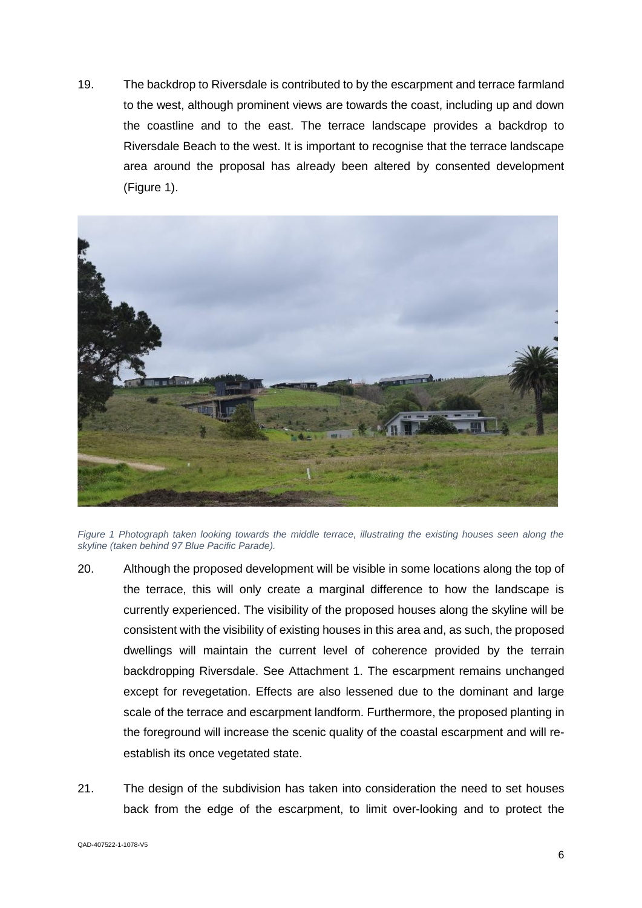19. The backdrop to Riversdale is contributed to by the escarpment and terrace farmland to the west, although prominent views are towards the coast, including up and down the coastline and to the east. The terrace landscape provides a backdrop to Riversdale Beach to the west. It is important to recognise that the terrace landscape area around the proposal has already been altered by consented development [\(Figure 1\)](#page-5-0).



<span id="page-5-0"></span>*Figure 1 Photograph taken looking towards the middle terrace, illustrating the existing houses seen along the skyline (taken behind 97 Blue Pacific Parade).*

- 20. Although the proposed development will be visible in some locations along the top of the terrace, this will only create a marginal difference to how the landscape is currently experienced. The visibility of the proposed houses along the skyline will be consistent with the visibility of existing houses in this area and, as such, the proposed dwellings will maintain the current level of coherence provided by the terrain backdropping Riversdale. See Attachment 1. The escarpment remains unchanged except for revegetation. Effects are also lessened due to the dominant and large scale of the terrace and escarpment landform. Furthermore, the proposed planting in the foreground will increase the scenic quality of the coastal escarpment and will reestablish its once vegetated state.
- 21. The design of the subdivision has taken into consideration the need to set houses back from the edge of the escarpment, to limit over-looking and to protect the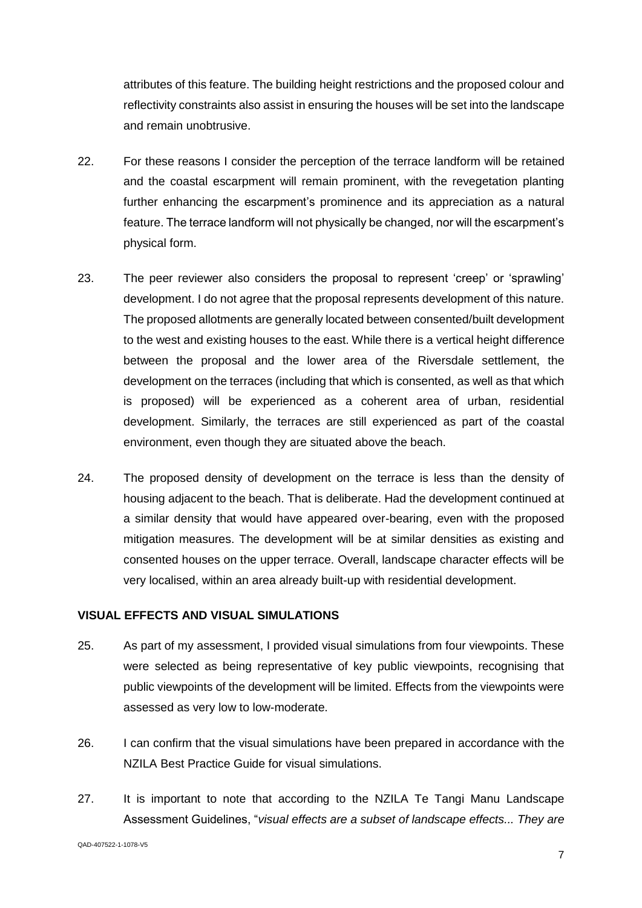attributes of this feature. The building height restrictions and the proposed colour and reflectivity constraints also assist in ensuring the houses will be set into the landscape and remain unobtrusive.

- 22. For these reasons I consider the perception of the terrace landform will be retained and the coastal escarpment will remain prominent, with the revegetation planting further enhancing the escarpment's prominence and its appreciation as a natural feature. The terrace landform will not physically be changed, nor will the escarpment's physical form.
- 23. The peer reviewer also considers the proposal to represent 'creep' or 'sprawling' development. I do not agree that the proposal represents development of this nature. The proposed allotments are generally located between consented/built development to the west and existing houses to the east. While there is a vertical height difference between the proposal and the lower area of the Riversdale settlement, the development on the terraces (including that which is consented, as well as that which is proposed) will be experienced as a coherent area of urban, residential development. Similarly, the terraces are still experienced as part of the coastal environment, even though they are situated above the beach.
- 24. The proposed density of development on the terrace is less than the density of housing adjacent to the beach. That is deliberate. Had the development continued at a similar density that would have appeared over-bearing, even with the proposed mitigation measures. The development will be at similar densities as existing and consented houses on the upper terrace. Overall, landscape character effects will be very localised, within an area already built-up with residential development.

### **VISUAL EFFECTS AND VISUAL SIMULATIONS**

- 25. As part of my assessment, I provided visual simulations from four viewpoints. These were selected as being representative of key public viewpoints, recognising that public viewpoints of the development will be limited. Effects from the viewpoints were assessed as very low to low-moderate.
- 26. I can confirm that the visual simulations have been prepared in accordance with the NZILA Best Practice Guide for visual simulations.
- 27. It is important to note that according to the NZILA Te Tangi Manu Landscape Assessment Guidelines, "*visual effects are a subset of landscape effects... They are*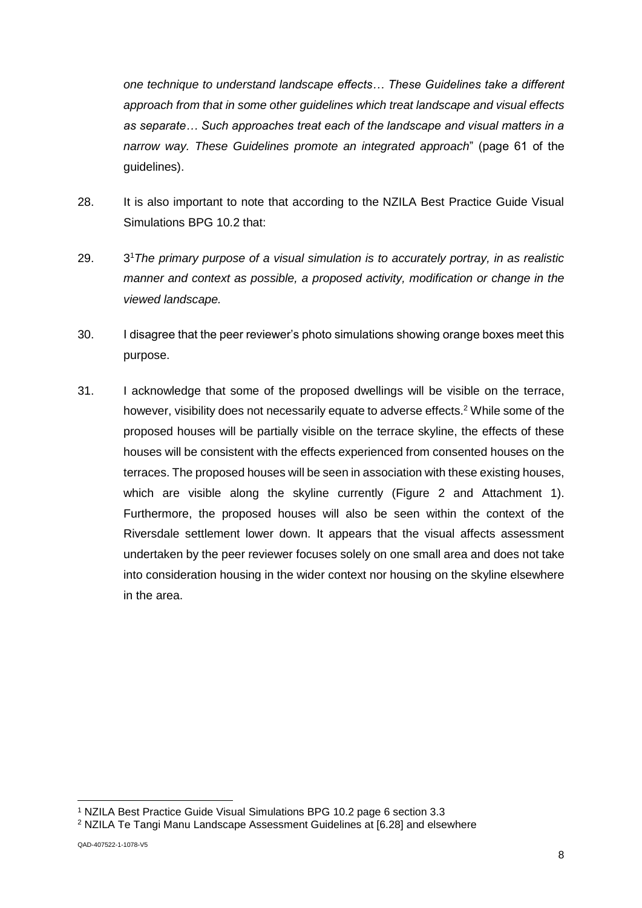*one technique to understand landscape effects… These Guidelines take a different approach from that in some other guidelines which treat landscape and visual effects as separate… Such approaches treat each of the landscape and visual matters in a narrow way. These Guidelines promote an integrated approach*" (page 61 of the guidelines).

- 28. It is also important to note that according to the NZILA Best Practice Guide Visual Simulations BPG 10.2 that:
- 29 <sup>1</sup>*The primary purpose of a visual simulation is to accurately portray, in as realistic manner and context as possible, a proposed activity, modification or change in the viewed landscape.*
- 30. I disagree that the peer reviewer's photo simulations showing orange boxes meet this purpose.
- 31. I acknowledge that some of the proposed dwellings will be visible on the terrace, however, visibility does not necessarily equate to adverse effects.<sup>2</sup> While some of the proposed houses will be partially visible on the terrace skyline, the effects of these houses will be consistent with the effects experienced from consented houses on the terraces. The proposed houses will be seen in association with these existing houses, which are visible along the skyline currently [\(Figure 2](#page-8-0) and Attachment 1). Furthermore, the proposed houses will also be seen within the context of the Riversdale settlement lower down. It appears that the visual affects assessment undertaken by the peer reviewer focuses solely on one small area and does not take into consideration housing in the wider context nor housing on the skyline elsewhere in the area.

<sup>-</sup><sup>1</sup> NZILA Best Practice Guide Visual Simulations BPG 10.2 page 6 section 3.3

<sup>2</sup> NZILA Te Tangi Manu Landscape Assessment Guidelines at [6.28] and elsewhere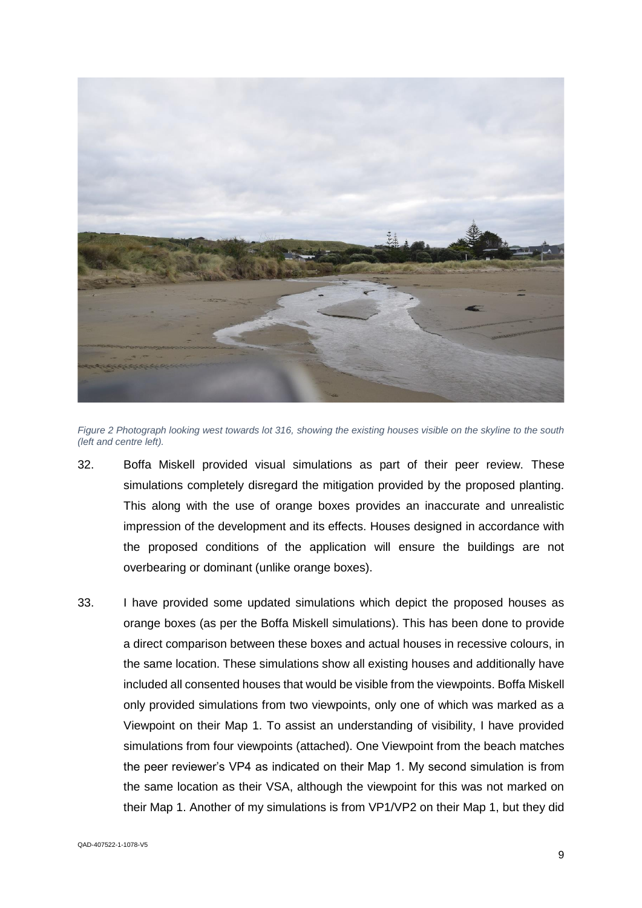

*Figure 2 Photograph looking west towards lot 316, showing the existing houses visible on the skyline to the south (left and centre left).*

- <span id="page-8-0"></span>32. Boffa Miskell provided visual simulations as part of their peer review. These simulations completely disregard the mitigation provided by the proposed planting. This along with the use of orange boxes provides an inaccurate and unrealistic impression of the development and its effects. Houses designed in accordance with the proposed conditions of the application will ensure the buildings are not overbearing or dominant (unlike orange boxes).
- 33. I have provided some updated simulations which depict the proposed houses as orange boxes (as per the Boffa Miskell simulations). This has been done to provide a direct comparison between these boxes and actual houses in recessive colours, in the same location. These simulations show all existing houses and additionally have included all consented houses that would be visible from the viewpoints. Boffa Miskell only provided simulations from two viewpoints, only one of which was marked as a Viewpoint on their Map 1. To assist an understanding of visibility, I have provided simulations from four viewpoints (attached). One Viewpoint from the beach matches the peer reviewer's VP4 as indicated on their Map 1. My second simulation is from the same location as their VSA, although the viewpoint for this was not marked on their Map 1. Another of my simulations is from VP1/VP2 on their Map 1, but they did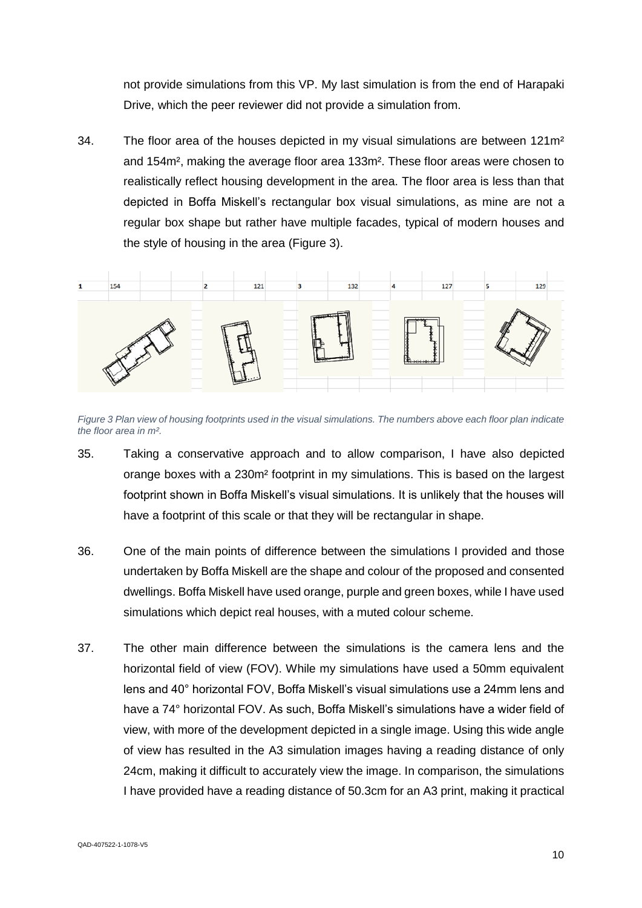not provide simulations from this VP. My last simulation is from the end of Harapaki Drive, which the peer reviewer did not provide a simulation from.

34. The floor area of the houses depicted in my visual simulations are between  $121m^2$ and 154m², making the average floor area 133m². These floor areas were chosen to realistically reflect housing development in the area. The floor area is less than that depicted in Boffa Miskell's rectangular box visual simulations, as mine are not a regular box shape but rather have multiple facades, typical of modern houses and the style of housing in the area [\(Figure 3\)](#page-9-0).



<span id="page-9-0"></span>*Figure 3 Plan view of housing footprints used in the visual simulations. The numbers above each floor plan indicate the floor area in m².*

- 35. Taking a conservative approach and to allow comparison, I have also depicted orange boxes with a 230m² footprint in my simulations. This is based on the largest footprint shown in Boffa Miskell's visual simulations. It is unlikely that the houses will have a footprint of this scale or that they will be rectangular in shape.
- 36. One of the main points of difference between the simulations I provided and those undertaken by Boffa Miskell are the shape and colour of the proposed and consented dwellings. Boffa Miskell have used orange, purple and green boxes, while I have used simulations which depict real houses, with a muted colour scheme.
- 37. The other main difference between the simulations is the camera lens and the horizontal field of view (FOV). While my simulations have used a 50mm equivalent lens and 40° horizontal FOV, Boffa Miskell's visual simulations use a 24mm lens and have a 74° horizontal FOV. As such, Boffa Miskell's simulations have a wider field of view, with more of the development depicted in a single image. Using this wide angle of view has resulted in the A3 simulation images having a reading distance of only 24cm, making it difficult to accurately view the image. In comparison, the simulations I have provided have a reading distance of 50.3cm for an A3 print, making it practical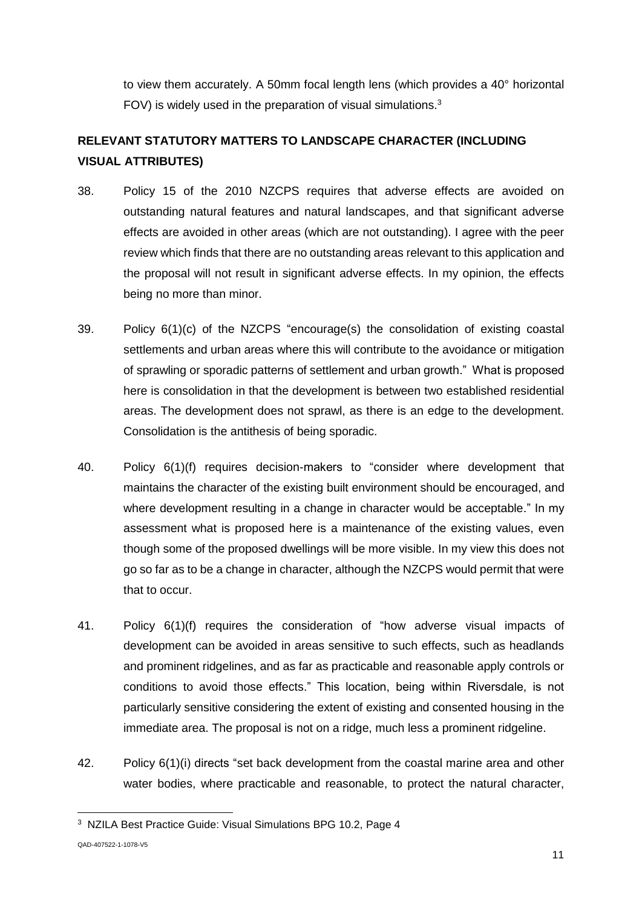to view them accurately. A 50mm focal length lens (which provides a 40° horizontal FOV) is widely used in the preparation of visual simulations.<sup>3</sup>

# **RELEVANT STATUTORY MATTERS TO LANDSCAPE CHARACTER (INCLUDING VISUAL ATTRIBUTES)**

- 38. Policy 15 of the 2010 NZCPS requires that adverse effects are avoided on outstanding natural features and natural landscapes, and that significant adverse effects are avoided in other areas (which are not outstanding). I agree with the peer review which finds that there are no outstanding areas relevant to this application and the proposal will not result in significant adverse effects. In my opinion, the effects being no more than minor.
- 39. Policy 6(1)(c) of the NZCPS "encourage(s) the consolidation of existing coastal settlements and urban areas where this will contribute to the avoidance or mitigation of sprawling or sporadic patterns of settlement and urban growth." What is proposed here is consolidation in that the development is between two established residential areas. The development does not sprawl, as there is an edge to the development. Consolidation is the antithesis of being sporadic.
- 40. Policy 6(1)(f) requires decision-makers to "consider where development that maintains the character of the existing built environment should be encouraged, and where development resulting in a change in character would be acceptable." In my assessment what is proposed here is a maintenance of the existing values, even though some of the proposed dwellings will be more visible. In my view this does not go so far as to be a change in character, although the NZCPS would permit that were that to occur.
- 41. Policy 6(1)(f) requires the consideration of "how adverse visual impacts of development can be avoided in areas sensitive to such effects, such as headlands and prominent ridgelines, and as far as practicable and reasonable apply controls or conditions to avoid those effects." This location, being within Riversdale, is not particularly sensitive considering the extent of existing and consented housing in the immediate area. The proposal is not on a ridge, much less a prominent ridgeline.
- 42. Policy 6(1)(i) directs "set back development from the coastal marine area and other water bodies, where practicable and reasonable, to protect the natural character,

-

<sup>3</sup> NZILA Best Practice Guide: Visual Simulations BPG 10.2, Page 4

QAD-407522-1-1078-V5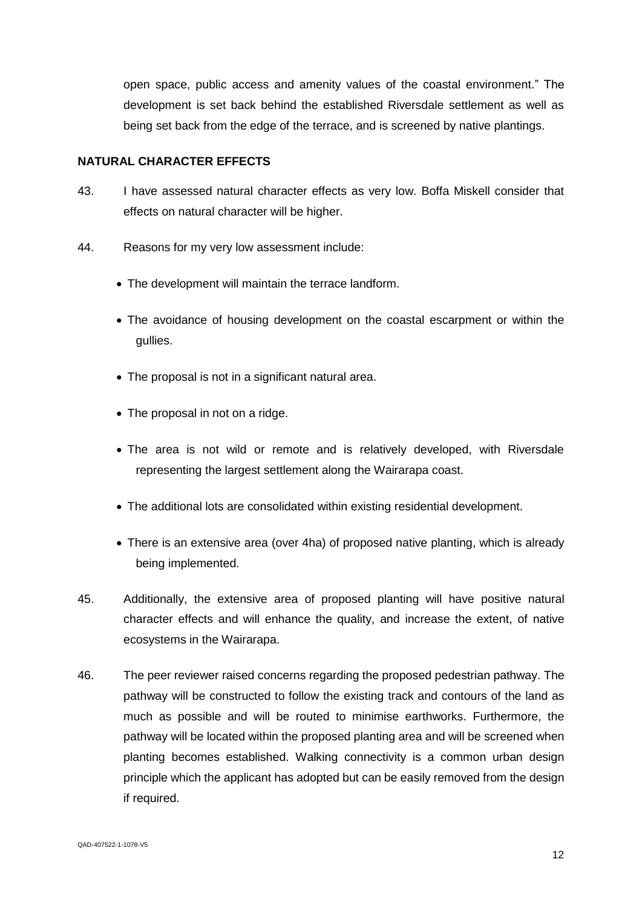open space, public access and amenity values of the coastal environment." The development is set back behind the established Riversdale settlement as well as being set back from the edge of the terrace, and is screened by native plantings.

### **NATURAL CHARACTER EFFECTS**

- 43. I have assessed natural character effects as very low. Boffa Miskell consider that effects on natural character will be higher.
- 44. Reasons for my very low assessment include:
	- The development will maintain the terrace landform.
	- The avoidance of housing development on the coastal escarpment or within the gullies.
	- The proposal is not in a significant natural area.
	- The proposal in not on a ridge.
	- The area is not wild or remote and is relatively developed, with Riversdale representing the largest settlement along the Wairarapa coast.
	- The additional lots are consolidated within existing residential development.
	- There is an extensive area (over 4ha) of proposed native planting, which is already being implemented.
- 45. Additionally, the extensive area of proposed planting will have positive natural character effects and will enhance the quality, and increase the extent, of native ecosystems in the Wairarapa.
- 46. The peer reviewer raised concerns regarding the proposed pedestrian pathway. The pathway will be constructed to follow the existing track and contours of the land as much as possible and will be routed to minimise earthworks. Furthermore, the pathway will be located within the proposed planting area and will be screened when planting becomes established. Walking connectivity is a common urban design principle which the applicant has adopted but can be easily removed from the design if required.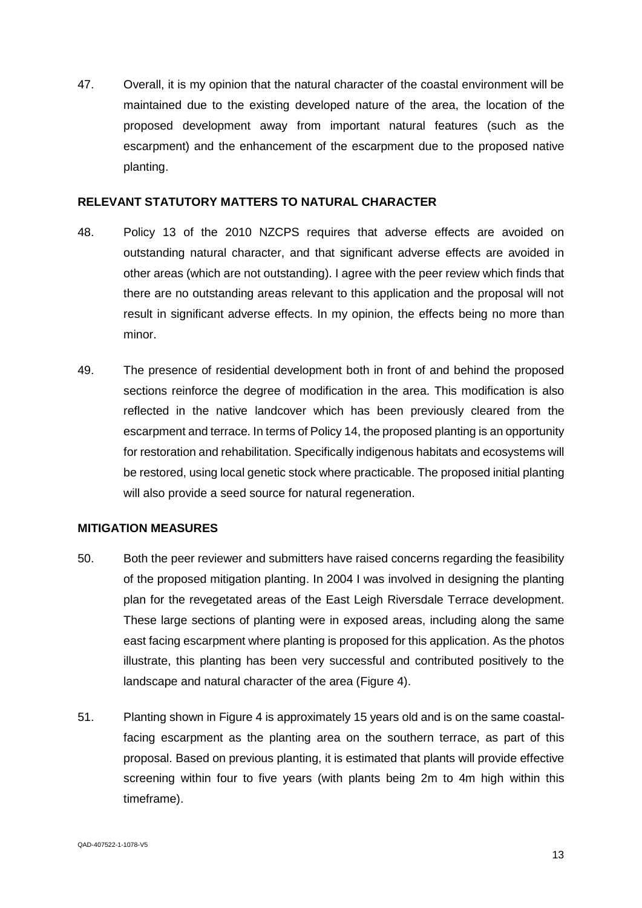47. Overall, it is my opinion that the natural character of the coastal environment will be maintained due to the existing developed nature of the area, the location of the proposed development away from important natural features (such as the escarpment) and the enhancement of the escarpment due to the proposed native planting.

### **RELEVANT STATUTORY MATTERS TO NATURAL CHARACTER**

- 48. Policy 13 of the 2010 NZCPS requires that adverse effects are avoided on outstanding natural character, and that significant adverse effects are avoided in other areas (which are not outstanding). I agree with the peer review which finds that there are no outstanding areas relevant to this application and the proposal will not result in significant adverse effects. In my opinion, the effects being no more than minor.
- 49. The presence of residential development both in front of and behind the proposed sections reinforce the degree of modification in the area. This modification is also reflected in the native landcover which has been previously cleared from the escarpment and terrace. In terms of Policy 14, the proposed planting is an opportunity for restoration and rehabilitation. Specifically indigenous habitats and ecosystems will be restored, using local genetic stock where practicable. The proposed initial planting will also provide a seed source for natural regeneration.

### **MITIGATION MEASURES**

- 50. Both the peer reviewer and submitters have raised concerns regarding the feasibility of the proposed mitigation planting. In 2004 I was involved in designing the planting plan for the revegetated areas of the East Leigh Riversdale Terrace development. These large sections of planting were in exposed areas, including along the same east facing escarpment where planting is proposed for this application. As the photos illustrate, this planting has been very successful and contributed positively to the landscape and natural character of the area [\(Figure 4\)](#page-13-0).
- 51. Planting shown in [Figure 4](#page-13-0) is approximately 15 years old and is on the same coastalfacing escarpment as the planting area on the southern terrace, as part of this proposal. Based on previous planting, it is estimated that plants will provide effective screening within four to five years (with plants being 2m to 4m high within this timeframe).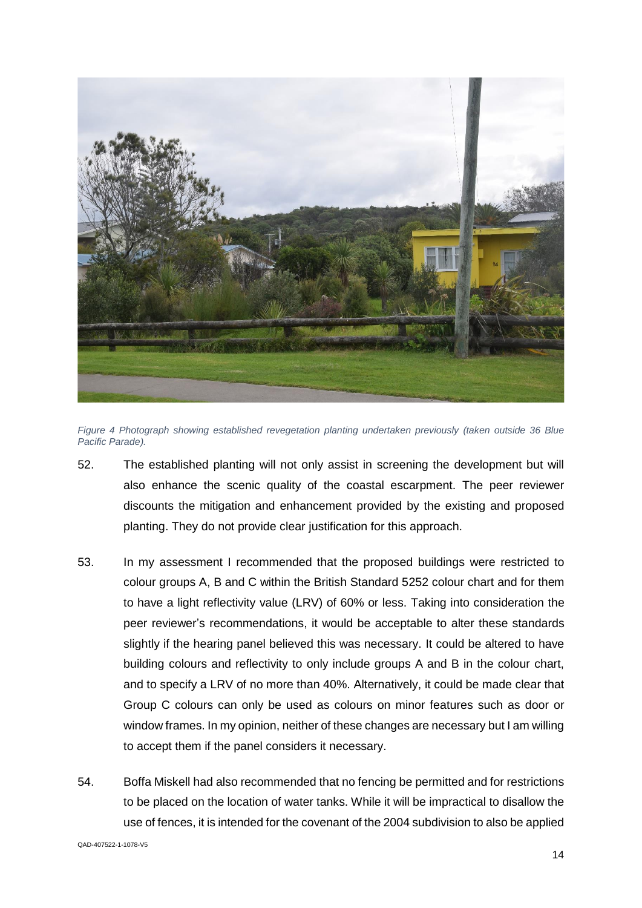

*Figure 4 Photograph showing established revegetation planting undertaken previously (taken outside 36 Blue Pacific Parade).*

- <span id="page-13-0"></span>52. The established planting will not only assist in screening the development but will also enhance the scenic quality of the coastal escarpment. The peer reviewer discounts the mitigation and enhancement provided by the existing and proposed planting. They do not provide clear justification for this approach.
- 53. In my assessment I recommended that the proposed buildings were restricted to colour groups A, B and C within the British Standard 5252 colour chart and for them to have a light reflectivity value (LRV) of 60% or less. Taking into consideration the peer reviewer's recommendations, it would be acceptable to alter these standards slightly if the hearing panel believed this was necessary. It could be altered to have building colours and reflectivity to only include groups A and B in the colour chart, and to specify a LRV of no more than 40%. Alternatively, it could be made clear that Group C colours can only be used as colours on minor features such as door or window frames. In my opinion, neither of these changes are necessary but I am willing to accept them if the panel considers it necessary.
- 54. Boffa Miskell had also recommended that no fencing be permitted and for restrictions to be placed on the location of water tanks. While it will be impractical to disallow the use of fences, it is intended for the covenant of the 2004 subdivision to also be applied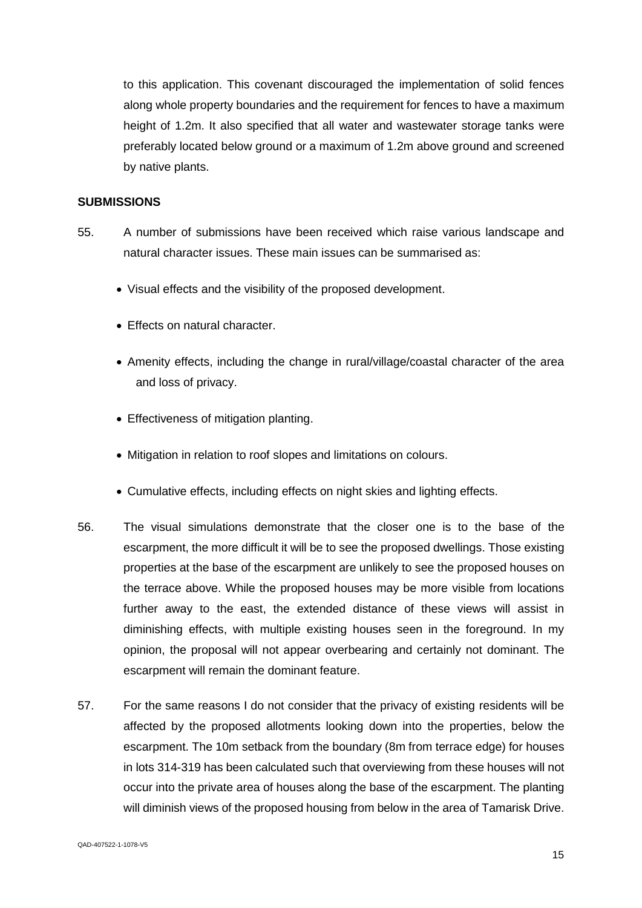to this application. This covenant discouraged the implementation of solid fences along whole property boundaries and the requirement for fences to have a maximum height of 1.2m. It also specified that all water and wastewater storage tanks were preferably located below ground or a maximum of 1.2m above ground and screened by native plants.

### **SUBMISSIONS**

- 55. A number of submissions have been received which raise various landscape and natural character issues. These main issues can be summarised as:
	- Visual effects and the visibility of the proposed development.
	- Effects on natural character.
	- Amenity effects, including the change in rural/village/coastal character of the area and loss of privacy.
	- Effectiveness of mitigation planting.
	- Mitigation in relation to roof slopes and limitations on colours.
	- Cumulative effects, including effects on night skies and lighting effects.
- 56. The visual simulations demonstrate that the closer one is to the base of the escarpment, the more difficult it will be to see the proposed dwellings. Those existing properties at the base of the escarpment are unlikely to see the proposed houses on the terrace above. While the proposed houses may be more visible from locations further away to the east, the extended distance of these views will assist in diminishing effects, with multiple existing houses seen in the foreground. In my opinion, the proposal will not appear overbearing and certainly not dominant. The escarpment will remain the dominant feature.
- 57. For the same reasons I do not consider that the privacy of existing residents will be affected by the proposed allotments looking down into the properties, below the escarpment. The 10m setback from the boundary (8m from terrace edge) for houses in lots 314-319 has been calculated such that overviewing from these houses will not occur into the private area of houses along the base of the escarpment. The planting will diminish views of the proposed housing from below in the area of Tamarisk Drive.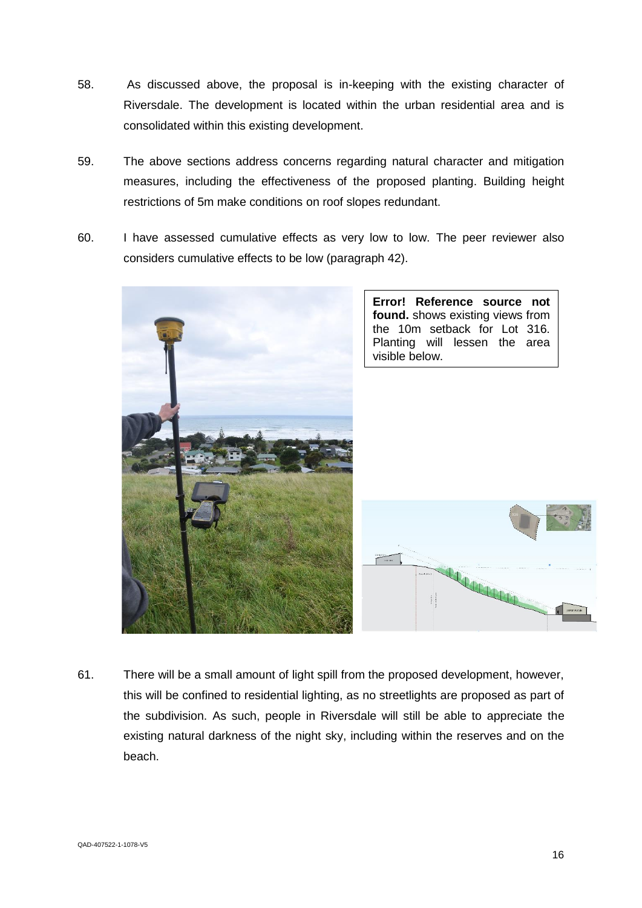- 58. As discussed above, the proposal is in-keeping with the existing character of Riversdale. The development is located within the urban residential area and is consolidated within this existing development.
- 59. The above sections address concerns regarding natural character and mitigation measures, including the effectiveness of the proposed planting. Building height restrictions of 5m make conditions on roof slopes redundant.
- 60. I have assessed cumulative effects as very low to low. The peer reviewer also considers cumulative effects to be low (paragraph 42).



61. There will be a small amount of light spill from the proposed development, however, this will be confined to residential lighting, as no streetlights are proposed as part of the subdivision. As such, people in Riversdale will still be able to appreciate the existing natural darkness of the night sky, including within the reserves and on the beach.